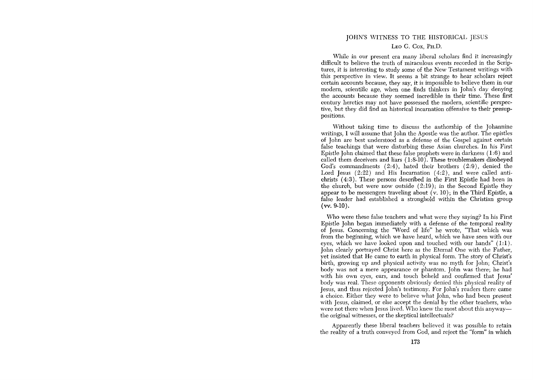## JOHN'S WITNESS TO THE HISTORICAL JESUS

## LEO G. Cox, PH.D.

While in our present era many liberal scholars find it increasingly difficult to believe the truth of miraculous events recorded in the Scriptures, it is interesting to study some of the New Testament writings with this perspective in view. It seems a bit strange to hear scholars reject certain accounts because, they say, it is impossible to believe them in our modern, scientific age, when one finds thinkers in John's day denying the accounts because they seemed incredible in their time. These first century heretics may not have possessed the modern, scientific perspective, but they did find an historical incarnation offensive to their presuppositions.

Without taking time to discuss the authorship of the Johannine writings, I will assume that John the Apostle was the author. The epistles of John are best understood as a defense of the Gospel against certain false teachings that were disturbing these Asian churches. In his First Epistle John claimed that these false prophets were in darkness (1:6) and called them deceivers and liars (1:8-10). These troublemakers disobeyed God's commandments (2:4), hated their brothers (2:9), denied the Lord Jesus  $(2:22)$  and His Incarnation  $(4:2)$ , and were called antichrists (4: 3). These persons described in the First Epistle had been in the church, but were now outside  $(2.19)$ ; in the Second Epistle they appear to be messengers traveling about  $(v, 10)$ ; in the Third Epistle, a false leader had established a stronghold within the Christian group  $(vv. 9-10)$ .

Who were these false teachers and what were they saying? In his First Epistle John began immediately with a defense of the temporal reality of Jesus. Concerning the "Word of life" he wrote, "That which was from the beginning, which we have heard, which we have seen with our eyes, which we have looked upon and touched with our hands"  $(1:1)$ . John clearly portrayed Christ here as the Eternal One with the Father, yet insisted that He came to earth in physical form. The story of Christ's birth, growing up and physical activity was no myth for John; Christ's body was not a mere appearance or phantom. John was there; he had with his own eyes, ears, and touch beheld and confirmed that Jesus' body was real. These opponents obviously denied this physical reality of Jesus, and thus rejected John's testimony. For John's readers there came a choice. Either they were to believe what John, who had been present with Jesus, claimed, or else accept the denial by the other teachers, who were not there when Jesus lived. Who knew the most about this anyway the original witnesses, or the skeptical intellectuals?

Apparently these liberal teachers believed it was possible to retain the reality of a truth conveyed from God, and reject the "form" in which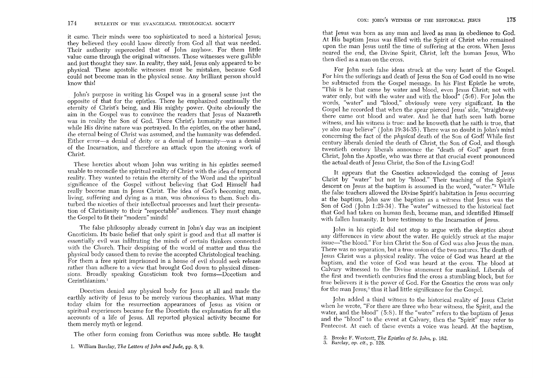it came. Their minds were too sophisticated to need a historical Jesus; they believed they could know directly from God all that was needed. Their authority superceded that of John anyhow. For them little value came through the original witnesses. Those witnesses were gullible and just thought they saw. In reality, they said, Jesus only appeared to be physical. These apostolic witnesses must be mistaken, because God could not become man in the physical sense. Any brilliant person should know this!

John's purpose in writing his Gospel was in a general sense just the opposite of that for the epistles. There he emphasized continually the eternity of Christ's being, and His mighty power. Quite obviously the aim in the Gospel was to convince the readers that Jesus of Nazareth was in reality the Son of God. There Christ's humanity was assumed while His divine nature was portrayed. In the epistles, on the other hand, the eternal being of Christ was assumed, and the humanity was defended. Either error-a denial of deity or a denial of humanity-was a denial of the Incarnation, and therefore an attack upon the atoning work of Christ.

These heretics about whom John was writing in his epistles seemed unable to reconcile the spiritual reality of Christ with the idea of temporal reality. They wanted to retain the eternity of the Word and the spiritual significance of the Gospel without believing that God Himself had really become man in Jesus Christ. The idea of God's becoming man, living, suffering and dying as a man, was obnoxious to them. Such disturbed the niceties of their intellectual processes and hurt their presentation of Christianity to their "respectable" audiences. They must change the Gospel to fit their "modern" minds!

The false philosophy already current in John's day was an incipient Gnosticism. Its basic belief that only spirit is good and that all matter is essentially evil was infiltrating the minds of certain thinkers connected with the Church. Their despising of the world of matter and thus the physical body caused them to revise the accepted Christological teaching. For them a free spirit imprisoned in a house of evil should seek release rather than adhere to a view that brought God down to physical dimensions. Broadly speaking Gnosticism took two forms-Docetism and Cerinthianism.<sup>1</sup>

Docetism denied any physical body for Jesus at all and made the earthly activity of Jesus to be merely various theophanies. What many today claim for the resurrection appearances of Jesus as vision or spiritual experiences became for the Docetists the explanation for all the accounts of a life of Jesus. All reported physical activity became for them merely myth or legend.

The other form coming from Cerinthus was more subtle. He taught

that Jesus was born as any man and lived as man in obedience to God. At His baptism Jesus was filled with the Spirit of Christ who remained upon the man Jesus until the time of suffering at the cross. When Jesus neared the end, the Divine Spirit, Christ, left the human Jesus, Who then died as a man on the cross.

For John such false ideas struck at the very heart of the Gospel. For him the sufferings and death of Jesus the Son of God could in no wise be subtracted from the Gospel message. In his First Epistle he wrote, "This is he that came by water and blood, even Jesus Christ; not with water only, but with the water and with the blood" (5:6). For John the words, "water" and "blood," obviously were very significant. In the Gospel he recorded that when the spear pierced Jesus' side, "straightway there came out blood and water. And he that hath seen hath borne witness, and his witness is true: and he knoweth that he saith is true, that ye also may believe" (John 19:34-35). There was no doubt in John's mind concerning the fact of the *physical* death of the Son of God! While first century liberals denied the death of Christ, the Son of God, and though twentieth century liberals announce the "death of God" apart from Christ, John the Apostle, who was there at that crucial event pronounced the actual death of Jesus Christ, the Son of the Living God!

It appears that the Gnostics acknowledged the coming of Jesus Christ by "water" but not by "blood." Their teaching of the Spirit's descent on Jesus at the baptism is assumed in the word, "water."<sup>2</sup> While the false teachers allowed the Divine Spirit's habitation in Jesus occurring at the baptism, John saw the baptism as a witness that Jesus was the Son of God (John 1:29-34). The "water" witnessed to the historical fact that God had taken on human flesh, became man, and identified Himself with fallen humanity. It bore testimony to the Incarnation of Jesus.

John in his epistle did not stop to argue with the skeptics about any differences in view about the water. He quickly struck at the major issue—"the blood." For him Christ the Son of  $\bar{G}$ od was also Jesus the man. There was no separation, but a true union of the two natures. The death of Jesus Christ was a physical reality. The voice of God was heard at the baptism, and the voice of God was heard at the cross. The blood at Calvary witnessed to the Divine atonement for mankind. Liberals of the first and twentieth centuries find the cross a stumbling block, but for true believers it is the power of God. For the Gnostics the cross was only for the man Jesus;<sup>3</sup> thus it had little significance for the Gospel.

John added a third witness to the historical reality of Jesus Christ when he wrote, "For there are three who bear witness, the Spirit, and the water, and the blood"  $(5:8)$ . If the "water" refers to the baptism of Jesus and the "blood" to the event at Calvary, then the "Spirit" may refer to Pentecost. At each of these events a voice was heard. At the baptism,

<sup>1.</sup> William Barclay, *The Letters of John and Jude,* pp. 8, 9.

<sup>2.</sup> Brooke F. Westcott, *The Epistles of St. John,* p. 182.

<sup>3.</sup> Barclay, *op. cit.,* p. 128.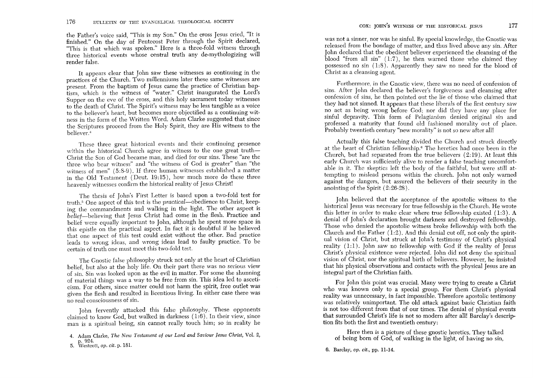the Father's voice said, "This is my Son." On the cross *Jesus* cried, "It is finished." On the day of Pentecost *Peter* through the Spirit declared, "This is that which was spoken." *Here* is a three-fold witness through three historical events whose central truth any de-mythologizing will render false.

It appears clear that John saw these witnesses as continuing in the practices of the Church. Two millenniums later these same witnesses are present. From the baptism of Jesus came the practice of Christian baptism, which is the witness of "water." Christ inaugurated the Lord's Supper on the eve of the cross, and this holy sacrament today witnesses to the death of Christ. The Spirit's witness may be less tangible as a voice to the believer's heart, but becomes more objectified as a continuing witness in the form of the Written Word. Adam Clarke suggested that since the Scriptures proceed from the Holy Spirit, they are His witness to the believer<sup>4</sup>

These three great historical events and their continuing *presence*  within the historical Church agree in witness to the one great truth-Christ the Son of God became man, and died for our sins. These "are the three who bear witness" and "the witness of God is greater" than "the witness of men" (5:8-9). If three human witnesses established a matter in the Old Testament (Deut. 19:15), how much *more* do these three heavenly witnesses confirm the historical reality of Jesus Christ!

The thesis of John's First Letter is based upon a two-fold test for truth. 5 One aspect of this test is the *practical-obedience* to Christ, keeping the commandments and walking in the light. The other aspect is belief-believing that Jesus Christ had come in the flesh. Practice and belief were equally important to John, although he spent more space in this epistle on the practical aspect. In fact it is doubtful if he believed that one aspect of this test could exist without the other. Bad practice leads to wrong ideas, and wrong ideas lead to faulty practice. To be certain of truth one must meet this two-fold test.

The Gnostic false philosophy struck not only at the heart of Christian belief, but also at the holy life. On their part there was no serious view of sin. Sin was looked upon as the evil in matter. For some the shunning of material things was a way to be free from sin. This idea led to asceticism. For others, since matter could not harm the spirit, free outlet was given the flesh and resulted in licentious living. In either case there was no real consciousness of sin.

John fervently attacked this false philosophy. These opponents claimed to know God, but walked in darkness (1:6). In their view, since man is a spiritual being, sin cannot really touch him; so in reality he

Furthermore, in the Gnostic view, there was no need of confession of sins. After John declared the believer's forgiveness and cleansing after confession of sins, he then pointed out the lie of those who claimed that they had not sinned. It appears that these liberals of the first century saw no act as being wrong before God; nor did they have any place for sinful depravity. This form of Pelagianism denied original sin and professed a maturity that found old fashioned morality out of place. Probably twentieth century "new morality" is not so new after all!

Actually this false teaching divided the Church and struck directly at the heart of Christian fellowship.6 The heretics had once been in the Church, but had separated from the *true* believers (2: 19). At least this early Church was sufficiently alive to render a false teaching uncomfortable in it. The skeptics left the body of the faithful, but *were* still attempting to mislead persons within the church. John not only warned against the dangers, but assured the believers of their security in the anointing of the Spirit (2:26-28).

John believed that the acceptance of the apostolic witness to the historical Jesus was necessary for *true* fellowship in the Church. *He* wrote this letter in order to make clear where true fellowship existed  $(1:3)$ . A denial of John's declaration brought darkness and destroyed fellowship. Those who denied the apostolic witness broke fellowship with both the Church and the Father  $(1:2)$ . And this denial cut off, not only the spiritual vision of Christ, but struck at Tohn's testimony of Christ's physical reality  $(1:1)$ . John saw no fellowship with God if the reality of Jesus Christ's physical existence *were* rejected. Tohn did not deny the spiritual vision of Christ, nor the spiritual birth of believers. However, he insisted that his physical observations and contacts with the physical Jesus are an integral part of the Christian faith.

For John this point was crucial. Many *were* trying to create a Christ who was known only to a special group. For them Christ's physical reality was unnecessary, in fact impossible. Therefore apostolic testimony was relatively unimportant. The old attack against basic Christian faith is not too different from that of our times. The denial of physical events that surrounded Christ's life is not so modern after all! Barclay's description fits both the first and twentieth century:

Here then is a picture of these gnostic heretics. They talked of bemg born of God, of walking in the light, of having no sin,

Christ as a cleansing agent.

<sup>4.</sup> Adam Clarke, *The New Testament of our Lord and Saviour Jesus Christ, Vol. 2,*  p.924. 5. Westcott, op. *cit.* p. 181.